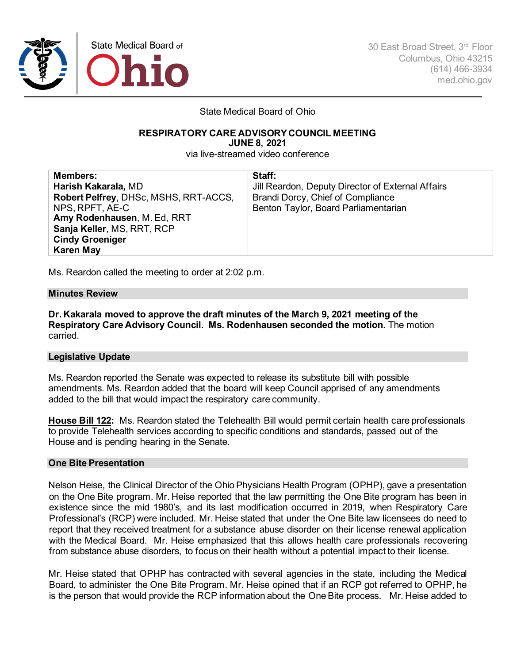

30 East Broad Street, 3rd Floor Columbus, Ohio 43215 (614) 466-3934 med.ohio.gov

State Medical Board of Ohio

#### **RESPIRATORY CARE ADVISORYCOUNCIL MEETING JUNE 8, 2021**

via live-streamed video conference

| <b>Members:</b><br>Harish Kakarala, MD<br>Robert Pelfrey, DHSc, MSHS, RRT-ACCS,<br>NPS, RPFT, AE-C<br>Amy Rodenhausen, M. Ed, RRT<br>Sanja Keller, MS, RRT, RCP<br><b>Cindy Groeniger</b> | Staff:<br>Jill Reardon, Deputy Director of External Affairs<br>Brandi Dorcy, Chief of Compliance<br>Benton Taylor, Board Parliamentarian |
|-------------------------------------------------------------------------------------------------------------------------------------------------------------------------------------------|------------------------------------------------------------------------------------------------------------------------------------------|
| <b>Karen May</b>                                                                                                                                                                          |                                                                                                                                          |

Ms. Reardon called the meeting to order at 2:02 p.m.

## **Minutes Review**

**Dr. Kakarala moved to approve the draft minutes of the March 9, 2021 meeting of the Respiratory Care Advisory Council. Ms. Rodenhausen seconded the motion.** The motion carried.

## **Legislative Update**

Ms. Reardon reported the Senate was expected to release its substitute bill with possible amendments. Ms. Reardon added that the board will keep Council apprised of any amendments added to the bill that would impact the respiratory care community.

**House Bill 122:** Ms. Reardon stated the Telehealth Bill would permit certain health care professionals to provide Telehealth services according to specific conditions and standards, passed out of the House and is pending hearing in the Senate.

#### **One Bite Presentation**

Nelson Heise, the Clinical Director of the Ohio Physicians Health Program (OPHP), gave a presentation on the One Bite program. Mr. Heise reported that the law permitting the One Bite program has been in existence since the mid 1980's, and its last modification occurred in 2019, when Respiratory Care Professional's (RCP) were included. Mr. Heise stated that under the One Bite law licensees do need to report that they received treatment for a substance abuse disorder on their license renewal application with the Medical Board. Mr. Heise emphasized that this allows health care professionals recovering from substance abuse disorders, to focus on their health without a potential impact to their license.

Mr. Heise stated that OPHP has contracted with several agencies in the state, including the Medical Board, to administer the One Bite Program. Mr. Heise opined that if an RCP got referred to OPHP, he is the person that would provide the RCP information about the One Bite process. Mr. Heise added to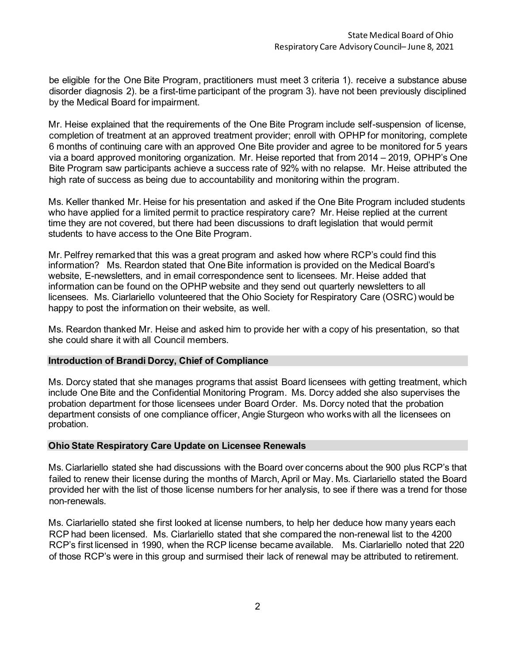be eligible for the One Bite Program, practitioners must meet 3 criteria 1). receive a substance abuse disorder diagnosis 2). be a first-time participant of the program 3). have not been previously disciplined by the Medical Board for impairment.

Mr. Heise explained that the requirements of the One Bite Program include self-suspension of license, completion of treatment at an approved treatment provider; enroll with OPHP for monitoring, complete 6 months of continuing care with an approved One Bite provider and agree to be monitored for 5 years via a board approved monitoring organization. Mr. Heise reported that from 2014 – 2019, OPHP's One Bite Program saw participants achieve a success rate of 92% with no relapse. Mr. Heise attributed the high rate of success as being due to accountability and monitoring within the program.

Ms. Keller thanked Mr. Heise for his presentation and asked if the One Bite Program included students who have applied for a limited permit to practice respiratory care? Mr. Heise replied at the current time they are not covered, but there had been discussions to draft legislation that would permit students to have access to the One Bite Program.

Mr. Pelfrey remarked that this was a great program and asked how where RCP's could find this information? Ms. Reardon stated that One Bite information is provided on the Medical Board's website, E-newsletters, and in email correspondence sent to licensees. Mr. Heise added that information can be found on the OPHP website and they send out quarterly newsletters to all licensees. Ms. Ciarlariello volunteered that the Ohio Society for Respiratory Care (OSRC) would be happy to post the information on their website, as well.

Ms. Reardon thanked Mr. Heise and asked him to provide her with a copy of his presentation, so that she could share it with all Council members.

## **Introduction of Brandi Dorcy, Chief of Compliance**

Ms. Dorcy stated that she manages programs that assist Board licensees with getting treatment, which include One Bite and the Confidential Monitoring Program. Ms. Dorcy added she also supervises the probation department for those licensees under Board Order. Ms. Dorcy noted that the probation department consists of one compliance officer, Angie Sturgeon who works with all the licensees on probation.

## **Ohio State Respiratory Care Update on Licensee Renewals**

Ms. Ciarlariello stated she had discussions with the Board over concerns about the 900 plus RCP's that failed to renew their license during the months of March, April or May. Ms. Ciarlariello stated the Board provided her with the list of those license numbers for her analysis, to see if there was a trend for those non-renewals.

Ms. Ciarlariello stated she first looked at license numbers, to help her deduce how many years each RCP had been licensed. Ms. Ciarlariello stated that she compared the non-renewal list to the 4200 RCP's first licensed in 1990, when the RCP license became available. Ms. Ciarlariello noted that 220 of those RCP's were in this group and surmised their lack of renewal may be attributed to retirement.